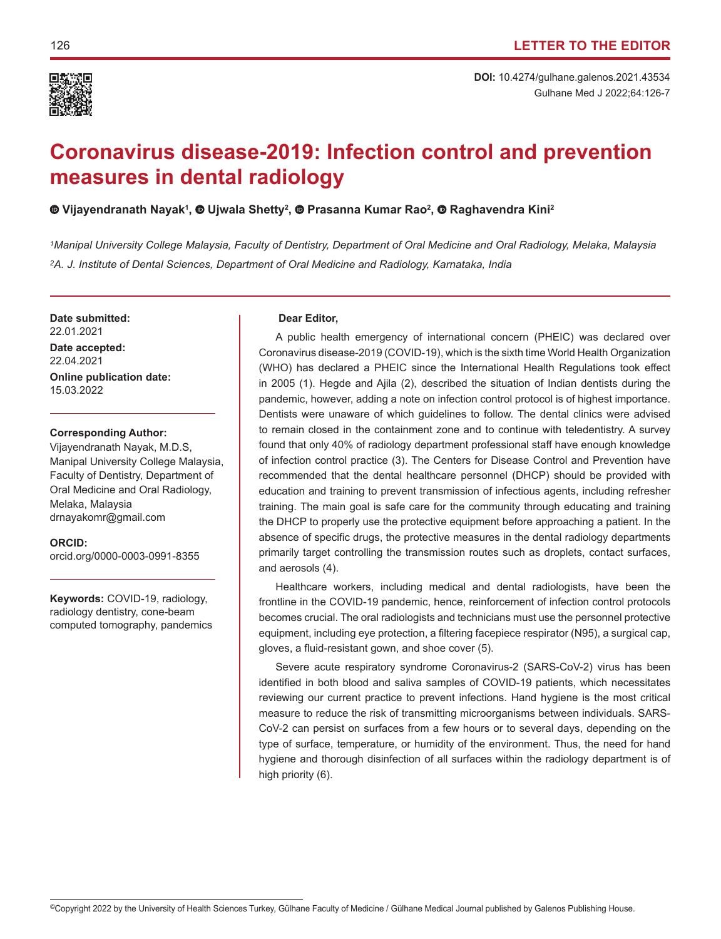

# **Coronavirus disease-2019: Infection control and prevention measures in dental radiology**

# **Vijayendranath Nayak1 ,Ujwala Shetty2 ,Prasanna Kumar Rao2 , Raghavendra Kini2**

*1Manipal University College Malaysia, Faculty of Dentistry, Department of Oral Medicine and Oral Radiology, Melaka, Malaysia 2A. J. Institute of Dental Sciences, Department of Oral Medicine and Radiology, Karnataka, India*

**Date submitted:** 22.01.2021

**Date accepted:** 22.04.2021

**Online publication date:** 15.03.2022

### **Corresponding Author:**

Vijayendranath Nayak, M.D.S, Manipal University College Malaysia, Faculty of Dentistry, Department of Oral Medicine and Oral Radiology, Melaka, Malaysia drnayakomr@gmail.com

## **ORCID:**

orcid.org/0000-0003-0991-8355

**Keywords:** COVID-19, radiology, radiology dentistry, cone-beam computed tomography, pandemics

#### **Dear Editor,**

A public health emergency of international concern (PHEIC) was declared over Coronavirus disease-2019 (COVID-19), which is the sixth time World Health Organization (WHO) has declared a PHEIC since the International Health Regulations took effect in 2005 (1). Hegde and Ajila (2), described the situation of Indian dentists during the pandemic, however, adding a note on infection control protocol is of highest importance. Dentists were unaware of which guidelines to follow. The dental clinics were advised to remain closed in the containment zone and to continue with teledentistry. A survey found that only 40% of radiology department professional staff have enough knowledge of infection control practice (3). The Centers for Disease Control and Prevention have recommended that the dental healthcare personnel (DHCP) should be provided with education and training to prevent transmission of infectious agents, including refresher training. The main goal is safe care for the community through educating and training the DHCP to properly use the protective equipment before approaching a patient. In the absence of specific drugs, the protective measures in the dental radiology departments primarily target controlling the transmission routes such as droplets, contact surfaces, and aerosols (4).

Healthcare workers, including medical and dental radiologists, have been the frontline in the COVID-19 pandemic, hence, reinforcement of infection control protocols becomes crucial. The oral radiologists and technicians must use the personnel protective equipment, including eye protection, a filtering facepiece respirator (N95), a surgical cap, gloves, a fluid-resistant gown, and shoe cover (5).

Severe acute respiratory syndrome Coronavirus-2 (SARS-CoV-2) virus has been identified in both blood and saliva samples of COVID-19 patients, which necessitates reviewing our current practice to prevent infections. Hand hygiene is the most critical measure to reduce the risk of transmitting microorganisms between individuals. SARS-CoV-2 can persist on surfaces from a few hours or to several days, depending on the type of surface, temperature, or humidity of the environment. Thus, the need for hand hygiene and thorough disinfection of all surfaces within the radiology department is of high priority (6).